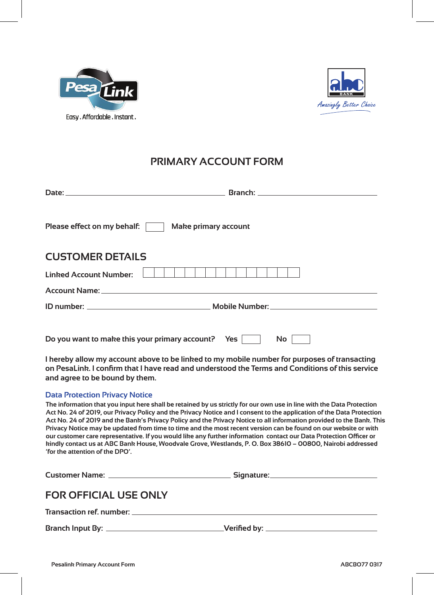



# **PRIMARY ACCOUNT FORM**

| Please effect on my behalf:<br><b>Make primary account</b>                                                                                                                                                                     |                  |
|--------------------------------------------------------------------------------------------------------------------------------------------------------------------------------------------------------------------------------|------------------|
| <b>CUSTOMER DETAILS</b>                                                                                                                                                                                                        |                  |
| <b>Linked Account Number:</b>                                                                                                                                                                                                  |                  |
| Account Name: 1988 and 2008 and 2008 and 2008 and 2008 and 2008 and 2008 and 2008 and 2008 and 2008 and 2008 and 2008 and 2008 and 2008 and 2008 and 2008 and 2008 and 2008 and 2008 and 2008 and 2008 and 2008 and 2008 and 2 |                  |
|                                                                                                                                                                                                                                |                  |
|                                                                                                                                                                                                                                |                  |
| Do you want to make this your primary account?                                                                                                                                                                                 | <b>No</b><br>Yes |

**I hereby allow my account above to be linked to my mobile number for purposes of transacting on PesaLink. I confirm that I have read and understood the Terms and Conditions of this service and agree to be bound by them.**

# **Data Protection Privacy Notice**

**The information that you input here shall be retained by us strictly for our own use in line with the Data Protection Act No. 24 of 2019, our Privacy Policy and the Privacy Notice and I consent to the application of the Data Protection Act No. 24 of 2019 and the Bank's Privacy Policy and the Privacy Notice to all information provided to the Bank. This Privacy Notice may be updated from time to time and the most recent version can be found on our website or with our customer care representative. If you would like any further information contact our Data Protection Officer or kindly contact us at ABC Bank House, Woodvale Grove, Westlands, P. O. Box 38610 – 00800, Nairobi addressed 'for the attention of the DPO'.**

| Customer Name: <u>_________________________________</u> |  |  |  |
|---------------------------------------------------------|--|--|--|
| <b>FOR OFFICIAL USE ONLY</b>                            |  |  |  |
|                                                         |  |  |  |
|                                                         |  |  |  |
|                                                         |  |  |  |